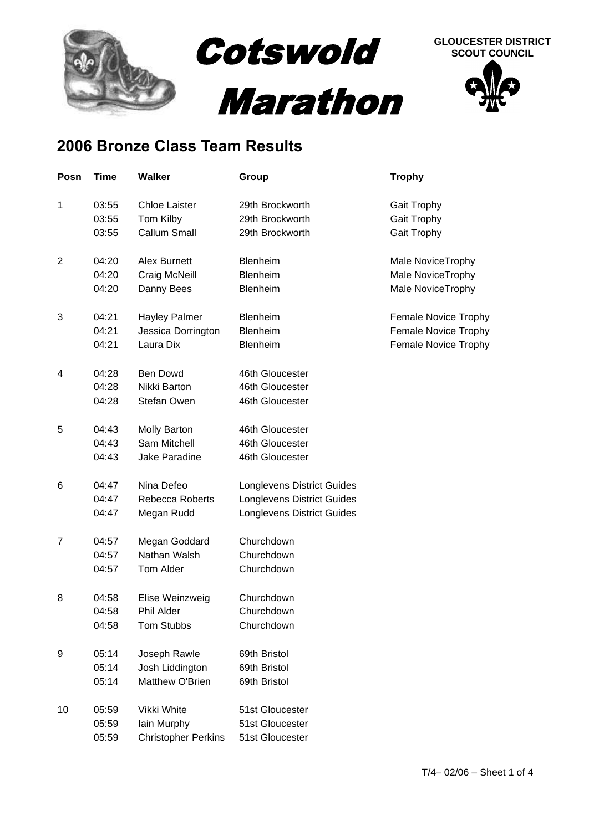

## **2006 Bronze Class Team Results**

| Posn           | Time  | <b>Walker</b>              | Group                             | <b>Trophy</b>        |
|----------------|-------|----------------------------|-----------------------------------|----------------------|
| 1              | 03:55 | <b>Chloe Laister</b>       | 29th Brockworth                   | <b>Gait Trophy</b>   |
|                | 03:55 | Tom Kilby                  | 29th Brockworth                   | Gait Trophy          |
|                | 03:55 | <b>Callum Small</b>        | 29th Brockworth                   | Gait Trophy          |
| $\overline{2}$ | 04:20 | Alex Burnett               | Blenheim                          | Male NoviceTrophy    |
|                | 04:20 | Craig McNeill              | Blenheim                          | Male NoviceTrophy    |
|                | 04:20 | Danny Bees                 | Blenheim                          | Male NoviceTrophy    |
| 3              | 04:21 | <b>Hayley Palmer</b>       | Blenheim                          | Female Novice Trophy |
|                | 04:21 | Jessica Dorrington         | Blenheim                          | Female Novice Trophy |
|                | 04:21 | Laura Dix                  | <b>Blenheim</b>                   | Female Novice Trophy |
| 4              | 04:28 | <b>Ben Dowd</b>            | 46th Gloucester                   |                      |
|                | 04:28 | Nikki Barton               | 46th Gloucester                   |                      |
|                | 04:28 | <b>Stefan Owen</b>         | 46th Gloucester                   |                      |
| 5              | 04:43 | <b>Molly Barton</b>        | 46th Gloucester                   |                      |
|                | 04:43 | Sam Mitchell               | 46th Gloucester                   |                      |
|                | 04:43 | Jake Paradine              | 46th Gloucester                   |                      |
| 6              | 04:47 | Nina Defeo                 | <b>Longlevens District Guides</b> |                      |
|                | 04:47 | <b>Rebecca Roberts</b>     | <b>Longlevens District Guides</b> |                      |
|                | 04:47 | Megan Rudd                 | <b>Longlevens District Guides</b> |                      |
| 7              | 04:57 | Megan Goddard              | Churchdown                        |                      |
|                | 04:57 | Nathan Walsh               | Churchdown                        |                      |
|                | 04:57 | Tom Alder                  | Churchdown                        |                      |
| 8              | 04:58 | Elise Weinzweig            | Churchdown                        |                      |
|                | 04:58 | Phil Alder                 | Churchdown                        |                      |
|                | 04:58 | Tom Stubbs                 | Churchdown                        |                      |
| 9              | 05:14 | Joseph Rawle               | 69th Bristol                      |                      |
|                | 05:14 | Josh Liddington            | 69th Bristol                      |                      |
|                | 05:14 | Matthew O'Brien            | 69th Bristol                      |                      |
| 10             | 05:59 | Vikki White                | 51st Gloucester                   |                      |
|                | 05:59 | lain Murphy                | 51st Gloucester                   |                      |
|                | 05:59 | <b>Christopher Perkins</b> | 51st Gloucester                   |                      |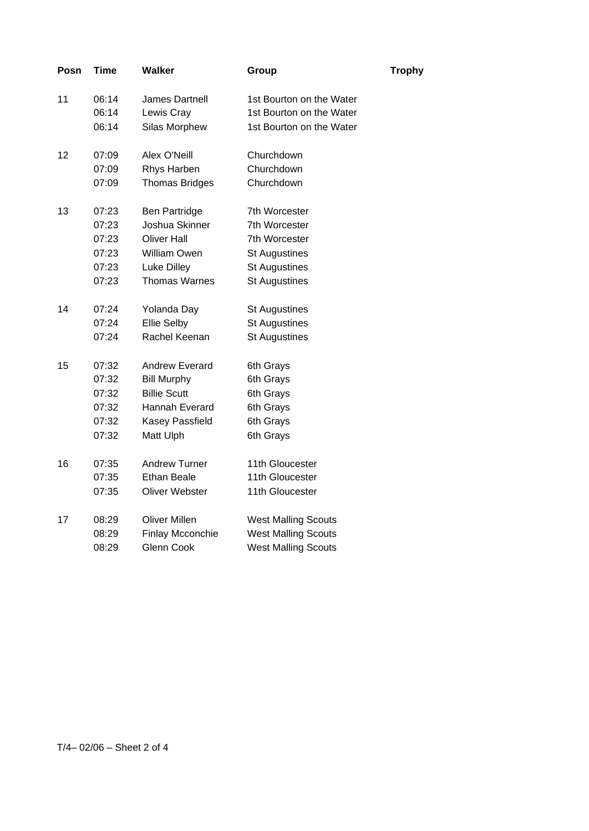| Posn | Time  | <b>Walker</b>         | Group                      | <b>Trophy</b> |
|------|-------|-----------------------|----------------------------|---------------|
| 11   | 06:14 | James Dartnell        | 1st Bourton on the Water   |               |
|      | 06:14 | Lewis Cray            | 1st Bourton on the Water   |               |
|      | 06:14 | Silas Morphew         | 1st Bourton on the Water   |               |
| 12   | 07:09 | Alex O'Neill          | Churchdown                 |               |
|      | 07:09 | Rhys Harben           | Churchdown                 |               |
|      | 07:09 | <b>Thomas Bridges</b> | Churchdown                 |               |
| 13   | 07:23 | <b>Ben Partridge</b>  | 7th Worcester              |               |
|      | 07:23 | Joshua Skinner        | 7th Worcester              |               |
|      | 07:23 | <b>Oliver Hall</b>    | 7th Worcester              |               |
|      | 07:23 | William Owen          | <b>St Augustines</b>       |               |
|      | 07:23 | Luke Dilley           | <b>St Augustines</b>       |               |
|      | 07:23 | <b>Thomas Warnes</b>  | <b>St Augustines</b>       |               |
| 14   | 07:24 | Yolanda Day           | <b>St Augustines</b>       |               |
|      | 07:24 | <b>Ellie Selby</b>    | <b>St Augustines</b>       |               |
|      | 07:24 | Rachel Keenan         | <b>St Augustines</b>       |               |
| 15   | 07:32 | <b>Andrew Everard</b> | 6th Grays                  |               |
|      | 07:32 | <b>Bill Murphy</b>    | 6th Grays                  |               |
|      | 07:32 | <b>Billie Scutt</b>   | 6th Grays                  |               |
|      | 07:32 | Hannah Everard        | 6th Grays                  |               |
|      | 07:32 | Kasey Passfield       | 6th Grays                  |               |
|      | 07:32 | Matt Ulph             | 6th Grays                  |               |
| 16   | 07:35 | <b>Andrew Turner</b>  | 11th Gloucester            |               |
|      | 07:35 | Ethan Beale           | 11th Gloucester            |               |
|      | 07:35 | Oliver Webster        | 11th Gloucester            |               |
| 17   | 08:29 | Oliver Millen         | <b>West Malling Scouts</b> |               |
|      | 08:29 | Finlay Mcconchie      | <b>West Malling Scouts</b> |               |
|      | 08:29 | <b>Glenn Cook</b>     | <b>West Malling Scouts</b> |               |
|      |       |                       |                            |               |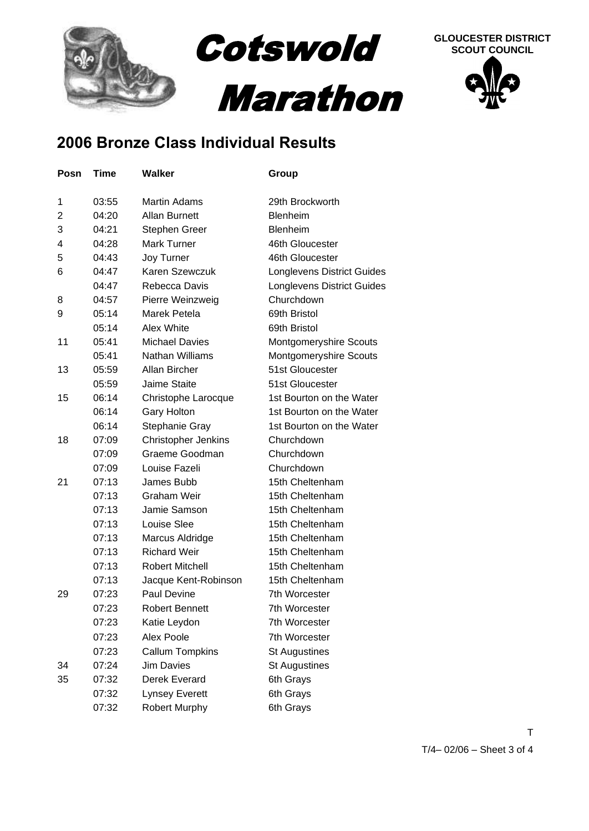

## **2006 Bronze Class Individual Results**

| Posn | Time  | Walker                 | Group                             |
|------|-------|------------------------|-----------------------------------|
| 1    | 03:55 | <b>Martin Adams</b>    | 29th Brockworth                   |
| 2    | 04:20 | <b>Allan Burnett</b>   | Blenheim                          |
| 3    | 04:21 | Stephen Greer          | <b>Blenheim</b>                   |
| 4    | 04:28 | <b>Mark Turner</b>     | 46th Gloucester                   |
| 5    | 04:43 | Joy Turner             | 46th Gloucester                   |
| 6    | 04:47 | Karen Szewczuk         | <b>Longlevens District Guides</b> |
|      | 04:47 | Rebecca Davis          | Longlevens District Guides        |
| 8    | 04:57 | Pierre Weinzweig       | Churchdown                        |
| 9    | 05:14 | Marek Petela           | 69th Bristol                      |
|      | 05:14 | Alex White             | 69th Bristol                      |
| 11   | 05:41 | <b>Michael Davies</b>  | Montgomeryshire Scouts            |
|      | 05:41 | Nathan Williams        | Montgomeryshire Scouts            |
| 13   | 05:59 | Allan Bircher          | 51st Gloucester                   |
|      | 05:59 | <b>Jaime Staite</b>    | 51st Gloucester                   |
| 15   | 06:14 | Christophe Larocque    | 1st Bourton on the Water          |
|      | 06:14 | <b>Gary Holton</b>     | 1st Bourton on the Water          |
|      | 06:14 | Stephanie Gray         | 1st Bourton on the Water          |
| 18   | 07:09 | Christopher Jenkins    | Churchdown                        |
|      | 07:09 | Graeme Goodman         | Churchdown                        |
|      | 07:09 | Louise Fazeli          | Churchdown                        |
| 21   | 07:13 | James Bubb             | 15th Cheltenham                   |
|      | 07:13 | <b>Graham Weir</b>     | 15th Cheltenham                   |
|      | 07:13 | Jamie Samson           | 15th Cheltenham                   |
|      | 07:13 | Louise Slee            | 15th Cheltenham                   |
|      | 07:13 | Marcus Aldridge        | 15th Cheltenham                   |
|      | 07:13 | <b>Richard Weir</b>    | 15th Cheltenham                   |
|      | 07:13 | <b>Robert Mitchell</b> | 15th Cheltenham                   |
|      | 07:13 | Jacque Kent-Robinson   | 15th Cheltenham                   |
| 29   | 07:23 | Paul Devine            | 7th Worcester                     |
|      | 07:23 | <b>Robert Bennett</b>  | 7th Worcester                     |
|      | 07:23 | Katie Leydon           | 7th Worcester                     |
|      | 07:23 | Alex Poole             | 7th Worcester                     |
|      | 07:23 | <b>Callum Tompkins</b> | <b>St Augustines</b>              |
| 34   | 07:24 | <b>Jim Davies</b>      | <b>St Augustines</b>              |
| 35   | 07:32 | Derek Everard          | 6th Grays                         |
|      | 07:32 | <b>Lynsey Everett</b>  | 6th Grays                         |
|      | 07:32 | <b>Robert Murphy</b>   | 6th Grays                         |

T